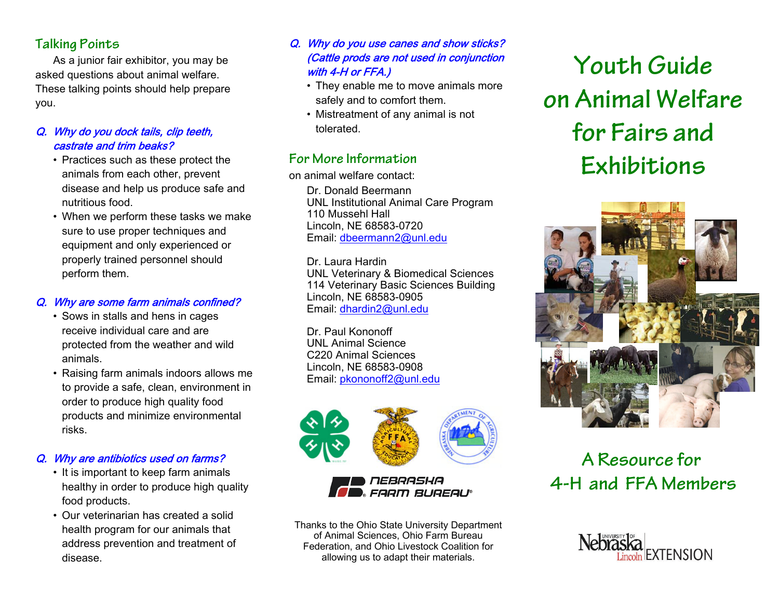# **Talking Points**

As a junior fair exhibitor, you may be asked questions about animal welfare. These talking points should help prepare you.

### Q. Why do you dock tails, clip teeth, castrate and trim beaks?

- Practices such as these protect the animals from each other, prevent disease and help us produce safe and nutritious food.
- When we perform these tasks we make sure to use proper techniques and equipment and only experienced or properly trained personnel should perform them.

### Q. Why are some farm animals confined?

- Sows in stalls and hens in cages receive individual care and areprotected from the weather and wild animals.
- Raising farm animals indoors allows me to provide a safe, clean, environment in order to produce high quality food products and minimize environmental risks.

# Q. Why are antibiotics used on farms?

- It is important to keep farm animals healthy in order to produce high quality food products.
- Our veterinarian has created a solid health program for our animals that address prevention and treatment of disease.

### Q. Why do you use canes and show sticks? (Cattle prods are not used in conjunction with 4-H or FFA.)

- They enable me to move animals more safely and to comfort them.
- Mistreatment of any animal is not tolerated.

# **For More Information**

on animal welfare contact:

Dr. Donald BeermannUNL Institutional Animal Care Program 110 Mussehl HallLincoln, NE 68583-0720 Email: dbeermann2@unl.edu

Dr. Laura Hardin UNL Veterinary & Biomedical Sciences 114 Veterinary Basic Sciences Building Lincoln, NE 68583-0905 Email: dhardin2@unl.edu

Dr. Paul KononoffUNL Animal ScienceC220 Animal SciencesLincoln, NE 68583-0908 Email: pkononoff2@unl.edu



Thanks to the Ohio State University Department of Animal Sciences, Ohio Farm Bureau Federation, and Ohio Livestock Coalition for allowing us to adapt their materials.

# **Youth Guide on Animal Welfare for Fairs andExhibitions**



# **A Resource for 4-H and FFA Members**